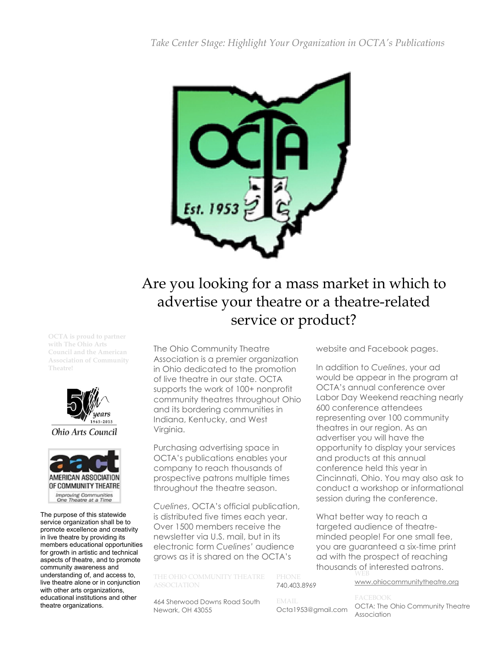

## Are you looking for a mass market in which to advertise your theatre or a theatre-related service or product?

OCTA is proud to partner with The Ohio Arts Council and the American Association of Community Theatre!



**Ohio Arts Council** 



The purpose of this statewide service organization shall be to promote excellence and creativity in live theatre by providing its members educational opportunities for growth in artistic and technical aspects of theatre, and to promote community awareness and understanding of, and access to, live theatre alone or in conjunction with other arts organizations, educational institutions and other theatre organizations.

The Ohio Community Theatre Association is a premier organization in Ohio dedicated to the promotion of live theatre in our state. OCTA supports the work of 100+ nonprofit community theatres throughout Ohio and its bordering communities in Indiana, Kentucky, and West Virginia.

Purchasing advertising space in OCTA's publications enables your company to reach thousands of prospective patrons multiple times throughout the theatre season.

*Cuelines*, OCTA's official publication, is distributed five times each year. Over 1500 members receive the newsletter via U.S. mail, but in its electronic form *Cuelines'* audience grows as it is shared on the OCTA's

## ASSOCIATION

464 Sherwood Downs Road South Newark, OH 43055

website and Facebook pages.

In addition to *Cuelines*, your ad would be appear in the program at OCTA's annual conference over Labor Day Weekend reaching nearly 600 conference attendees representing over 100 community theatres in our region. As an advertiser you will have the opportunity to display your services and products at this annual conference held this year in Cincinnati, Ohio. You may also ask to conduct a workshop or informational session during the conference.

What better way to reach a targeted audience of theatreminded people! For one small fee, you are guaranteed a six-time print ad with the prospect of reaching thousands of interested patrons.

740.403.8969

www.ohiocommunitytheatre.org

Octa1953@gmail.com

FACEBOOK OCTA: The Ohio Community Theatre Association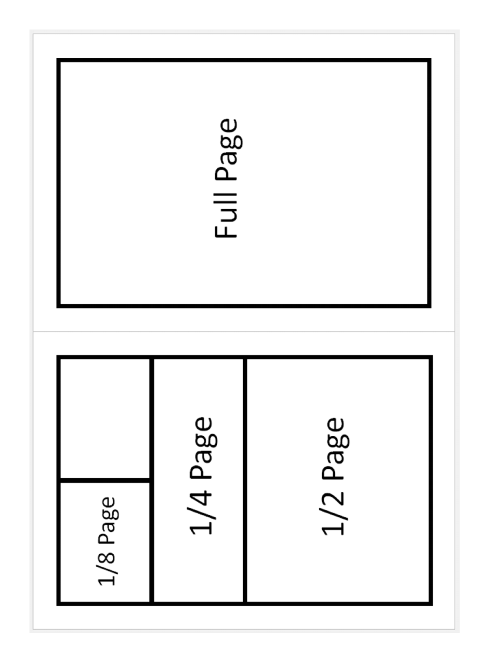